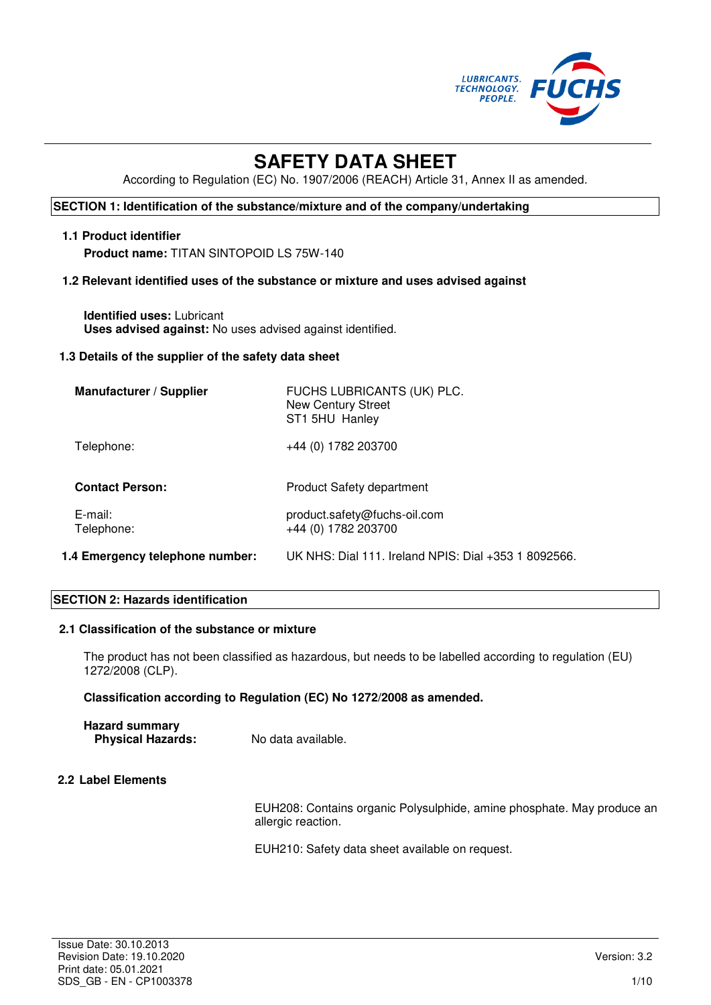

# **SAFETY DATA SHEET**

According to Regulation (EC) No. 1907/2006 (REACH) Article 31, Annex II as amended.

# **SECTION 1: Identification of the substance/mixture and of the company/undertaking**

#### **1.1 Product identifier**

**Product name:** TITAN SINTOPOID LS 75W-140

### **1.2 Relevant identified uses of the substance or mixture and uses advised against**

**Identified uses:** Lubricant **Uses advised against:** No uses advised against identified.

#### **1.3 Details of the supplier of the safety data sheet**

| <b>Manufacturer / Supplier</b>  | FUCHS LUBRICANTS (UK) PLC.<br><b>New Century Street</b><br>ST1 5HU Hanley |
|---------------------------------|---------------------------------------------------------------------------|
| Telephone:                      | +44 (0) 1782 203700                                                       |
| <b>Contact Person:</b>          | <b>Product Safety department</b>                                          |
| $E$ -mail:<br>Telephone:        | product.safety@fuchs-oil.com<br>+44 (0) 1782 203700                       |
| 1.4 Emergency telephone number: | UK NHS: Dial 111, Ireland NPIS: Dial +353 1 8092566.                      |

#### **SECTION 2: Hazards identification**

#### **2.1 Classification of the substance or mixture**

The product has not been classified as hazardous, but needs to be labelled according to regulation (EU) 1272/2008 (CLP).

### **Classification according to Regulation (EC) No 1272/2008 as amended.**

| <b>Hazard summary</b>    |                    |
|--------------------------|--------------------|
| <b>Physical Hazards:</b> | No data available. |

# **2.2 Label Elements**

EUH208: Contains organic Polysulphide, amine phosphate. May produce an allergic reaction.

EUH210: Safety data sheet available on request.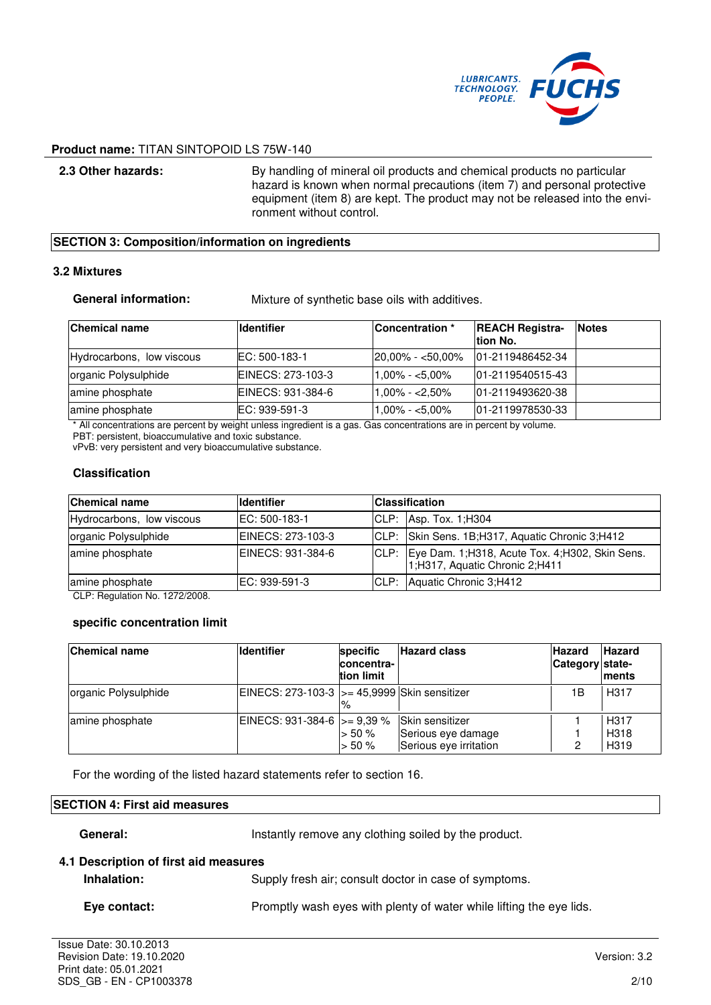

**2.3 Other hazards:** By handling of mineral oil products and chemical products no particular hazard is known when normal precautions (item 7) and personal protective equipment (item 8) are kept. The product may not be released into the environment without control.

#### **SECTION 3: Composition/information on ingredients**

#### **3.2 Mixtures**

**General information:** Mixture of synthetic base oils with additives.

| <b>Chemical name</b>      | <b>Ildentifier</b> | <b>Concentration</b> * | <b>REACH Registra-</b><br>Ition No. | <b>Notes</b> |
|---------------------------|--------------------|------------------------|-------------------------------------|--------------|
| Hydrocarbons, low viscous | EC: 500-183-1      | $ 20.00\% - 50.00\% $  | 101-2119486452-34                   |              |
| organic Polysulphide      | EINECS: 273-103-3  | $1,00\% - 5,00\%$      | 101-2119540515-43                   |              |
| amine phosphate           | EINECS: 931-384-6  | $1,00\% - < 2,50\%$    | 01-2119493620-38                    |              |
| amine phosphate           | EC: 939-591-3      | $1.00\% - 5.00\%$      | 101-2119978530-33                   |              |

\* All concentrations are percent by weight unless ingredient is a gas. Gas concentrations are in percent by volume. PBT: persistent, bioaccumulative and toxic substance.

vPvB: very persistent and very bioaccumulative substance.

# **Classification**

| <b>Chemical name</b>      | <b>Identifier</b>  | <b>Classification</b> |                                                                                       |
|---------------------------|--------------------|-----------------------|---------------------------------------------------------------------------------------|
| Hydrocarbons, low viscous | IEC: 500-183-1     |                       | CLP: Asp. Tox. 1; H304                                                                |
| organic Polysulphide      | EINECS: 273-103-3  |                       | CLP: Skin Sens. 1B; H317, Aquatic Chronic 3; H412                                     |
| amine phosphate           | IEINECS: 931-384-6 |                       | CLP: Eye Dam. 1;H318, Acute Tox. 4;H302, Skin Sens.<br>1;H317, Aquatic Chronic 2;H411 |
| amine phosphate           | IEC: 939-591-3     | CLP:                  | Aquatic Chronic 3:H412                                                                |

CLP: Regulation No. 1272/2008.

#### **specific concentration limit**

| <b>Chemical name</b> | <b>Identifier</b>                             | specific<br>concentra-<br>tion limit | <b>Hazard class</b>                                             | <b>Hazard</b><br>Category state- | <b>Hazard</b><br><b>Iments</b>   |
|----------------------|-----------------------------------------------|--------------------------------------|-----------------------------------------------------------------|----------------------------------|----------------------------------|
| organic Polysulphide | EINECS: 273-103-3  >= 45,9999 Skin sensitizer |                                      |                                                                 | 1Β                               | H <sub>3</sub> 17                |
| amine phosphate      | EINECS: 931-384-6 $\vert$ > = 9,39 %          | $> 50 \%$<br>$> 50 \%$               | Skin sensitizer<br>Serious eye damage<br>Serious eye irritation | າ                                | H <sub>317</sub><br>H318<br>H319 |

For the wording of the listed hazard statements refer to section 16.

# **SECTION 4: First aid measures**

General: **Instantly remove any clothing soiled by the product.** 

## **4.1 Description of first aid measures**

| Inhalation: |  |
|-------------|--|
|-------------|--|

Supply fresh air; consult doctor in case of symptoms.

**Eye contact:** Promptly wash eyes with plenty of water while lifting the eye lids.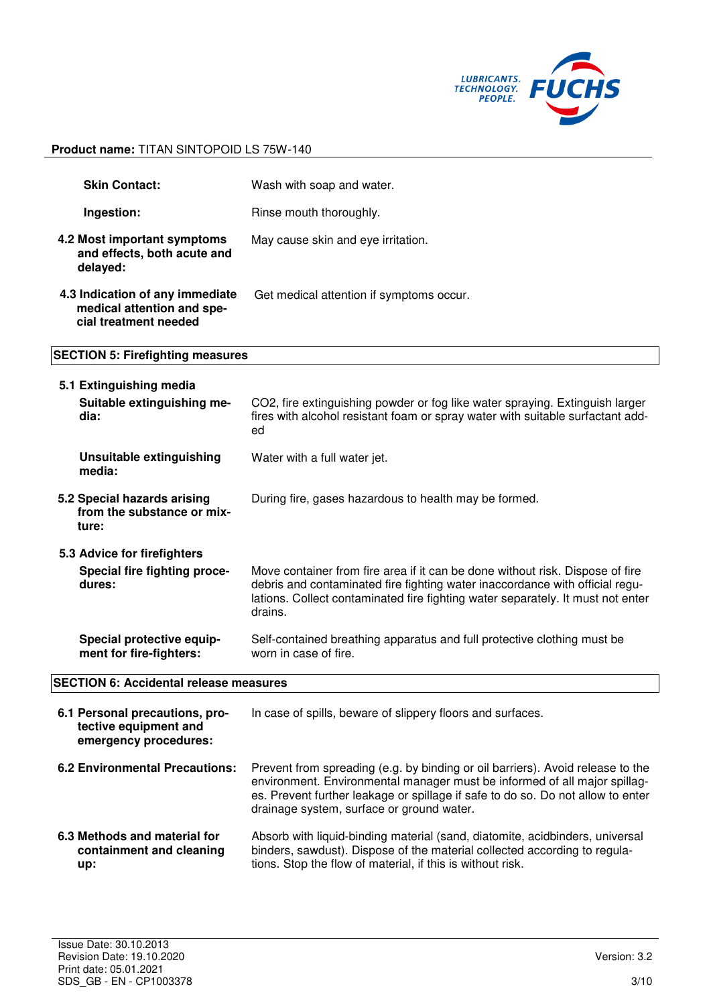

| <b>Skin Contact:</b>                                                                   | Wash with soap and water.                                                                                                                                                                                                                                   |  |
|----------------------------------------------------------------------------------------|-------------------------------------------------------------------------------------------------------------------------------------------------------------------------------------------------------------------------------------------------------------|--|
| Ingestion:                                                                             | Rinse mouth thoroughly.                                                                                                                                                                                                                                     |  |
| 4.2 Most important symptoms<br>and effects, both acute and<br>delayed:                 | May cause skin and eye irritation.                                                                                                                                                                                                                          |  |
| 4.3 Indication of any immediate<br>medical attention and spe-<br>cial treatment needed | Get medical attention if symptoms occur.                                                                                                                                                                                                                    |  |
| <b>SECTION 5: Firefighting measures</b>                                                |                                                                                                                                                                                                                                                             |  |
| 5.1 Extinguishing media                                                                |                                                                                                                                                                                                                                                             |  |
| Suitable extinguishing me-<br>dia:                                                     | CO2, fire extinguishing powder or fog like water spraying. Extinguish larger<br>fires with alcohol resistant foam or spray water with suitable surfactant add-<br>ed                                                                                        |  |
| <b>Unsuitable extinguishing</b><br>media:                                              | Water with a full water jet.                                                                                                                                                                                                                                |  |
| 5.2 Special hazards arising<br>from the substance or mix-<br>ture:                     | During fire, gases hazardous to health may be formed.                                                                                                                                                                                                       |  |
| 5.3 Advice for firefighters                                                            |                                                                                                                                                                                                                                                             |  |
| Special fire fighting proce-<br>dures:                                                 | Move container from fire area if it can be done without risk. Dispose of fire<br>debris and contaminated fire fighting water inaccordance with official regu-<br>lations. Collect contaminated fire fighting water separately. It must not enter<br>drains. |  |
| Special protective equip-<br>ment for fire-fighters:                                   | Self-contained breathing apparatus and full protective clothing must be<br>worn in case of fire.                                                                                                                                                            |  |
| <b>SECTION 6: Accidental release measures</b>                                          |                                                                                                                                                                                                                                                             |  |
| 6.1 Personal precautions, pro-<br>tective equipment and<br>emergency procedures:       | In case of spills, beware of slippery floors and surfaces.                                                                                                                                                                                                  |  |
| <b>6.2 Environmental Precautions:</b>                                                  | Prevent from spreading (e.g. by binding or oil barriers). Avoid release to the<br>environment. Environmental manager must be informed of all major spillag-<br>es. Prevent further leakage or spillage if safe to do so. Do not allow to enter              |  |

**6.3 Methods and material for containment and cleaning up:**  Absorb with liquid-binding material (sand, diatomite, acidbinders, universal binders, sawdust). Dispose of the material collected according to regulations. Stop the flow of material, if this is without risk.

drainage system, surface or ground water.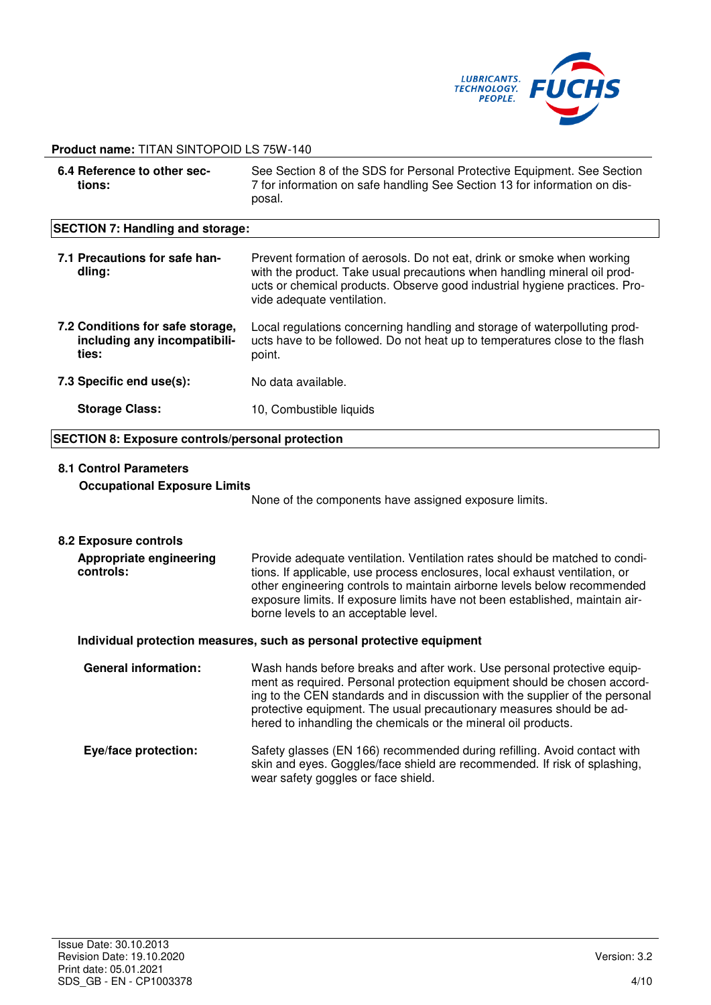

# **6.4 Reference to other sections:**  See Section 8 of the SDS for Personal Protective Equipment. See Section 7 for information on safe handling See Section 13 for information on disposal. **SECTION 7: Handling and storage: 7.1 Precautions for safe handling:**  Prevent formation of aerosols. Do not eat, drink or smoke when working with the product. Take usual precautions when handling mineral oil products or chemical products. Observe good industrial hygiene practices. Provide adequate ventilation. **7.2 Conditions for safe storage, including any incompatibilities:**  Local regulations concerning handling and storage of waterpolluting products have to be followed. Do not heat up to temperatures close to the flash point. **7.3 Specific end use(s):** No data available. **Storage Class:** 10, Combustible liquids **SECTION 8: Exposure controls/personal protection 8.1 Control Parameters Occupational Exposure Limits**  None of the components have assigned exposure limits. **8.2 Exposure controls Appropriate engineering controls:**  Provide adequate ventilation. Ventilation rates should be matched to conditions. If applicable, use process enclosures, local exhaust ventilation, or other engineering controls to maintain airborne levels below recommended exposure limits. If exposure limits have not been established, maintain airborne levels to an acceptable level. **Individual protection measures, such as personal protective equipment General information:** Wash hands before breaks and after work. Use personal protective equipment as required. Personal protection equipment should be chosen according to the CEN standards and in discussion with the supplier of the personal protective equipment. The usual precautionary measures should be adhered to inhandling the chemicals or the mineral oil products. **Eye/face protection:** Safety glasses (EN 166) recommended during refilling. Avoid contact with skin and eyes. Goggles/face shield are recommended. If risk of splashing, wear safety goggles or face shield.

#### **Product name:** TITAN SINTOPOID LS 75W-140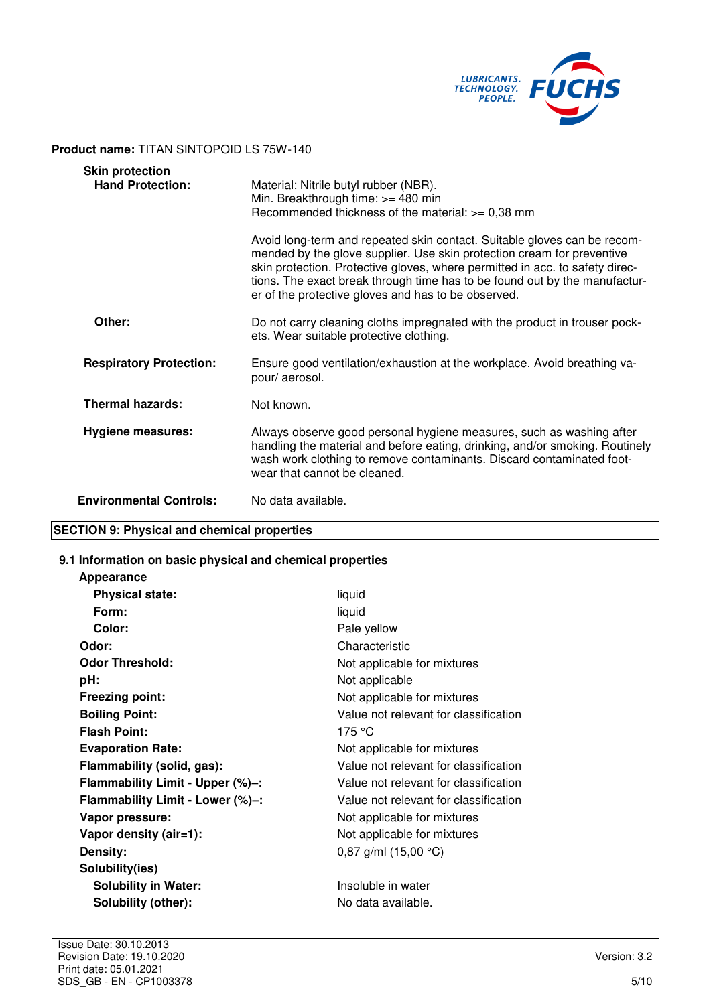

| <b>Skin protection</b><br><b>Hand Protection:</b> | Material: Nitrile butyl rubber (NBR).<br>Min. Breakthrough time: >= 480 min<br>Recommended thickness of the material: $>= 0.38$ mm<br>Avoid long-term and repeated skin contact. Suitable gloves can be recom-<br>mended by the glove supplier. Use skin protection cream for preventive<br>skin protection. Protective gloves, where permitted in acc. to safety direc-<br>tions. The exact break through time has to be found out by the manufactur-<br>er of the protective gloves and has to be observed. |
|---------------------------------------------------|---------------------------------------------------------------------------------------------------------------------------------------------------------------------------------------------------------------------------------------------------------------------------------------------------------------------------------------------------------------------------------------------------------------------------------------------------------------------------------------------------------------|
| Other:                                            | Do not carry cleaning cloths impregnated with the product in trouser pock-<br>ets. Wear suitable protective clothing.                                                                                                                                                                                                                                                                                                                                                                                         |
| <b>Respiratory Protection:</b>                    | Ensure good ventilation/exhaustion at the workplace. Avoid breathing va-<br>pour/aerosol.                                                                                                                                                                                                                                                                                                                                                                                                                     |
| <b>Thermal hazards:</b>                           | Not known.                                                                                                                                                                                                                                                                                                                                                                                                                                                                                                    |
| <b>Hygiene measures:</b>                          | Always observe good personal hygiene measures, such as washing after<br>handling the material and before eating, drinking, and/or smoking. Routinely<br>wash work clothing to remove contaminants. Discard contaminated foot-<br>wear that cannot be cleaned.                                                                                                                                                                                                                                                 |
| <b>Environmental Controls:</b>                    | No data available.                                                                                                                                                                                                                                                                                                                                                                                                                                                                                            |

# **SECTION 9: Physical and chemical properties**

**Appearance** 

### **9.1 Information on basic physical and chemical properties**

| <b>Appearance</b>                |                                       |
|----------------------------------|---------------------------------------|
| <b>Physical state:</b>           | liquid                                |
| Form:                            | liquid                                |
| Color:                           | Pale yellow                           |
| Odor:                            | Characteristic                        |
| <b>Odor Threshold:</b>           | Not applicable for mixtures           |
| pH:                              | Not applicable                        |
| <b>Freezing point:</b>           | Not applicable for mixtures           |
| <b>Boiling Point:</b>            | Value not relevant for classification |
| <b>Flash Point:</b>              | 175 °C                                |
| <b>Evaporation Rate:</b>         | Not applicable for mixtures           |
| Flammability (solid, gas):       | Value not relevant for classification |
| Flammability Limit - Upper (%)-: | Value not relevant for classification |
| Flammability Limit - Lower (%)-: | Value not relevant for classification |
| Vapor pressure:                  | Not applicable for mixtures           |
| Vapor density (air=1):           | Not applicable for mixtures           |
| Density:                         | 0,87 g/ml $(15,00 °C)$                |
| Solubility(ies)                  |                                       |
| <b>Solubility in Water:</b>      | Insoluble in water                    |
| Solubility (other):              | No data available.                    |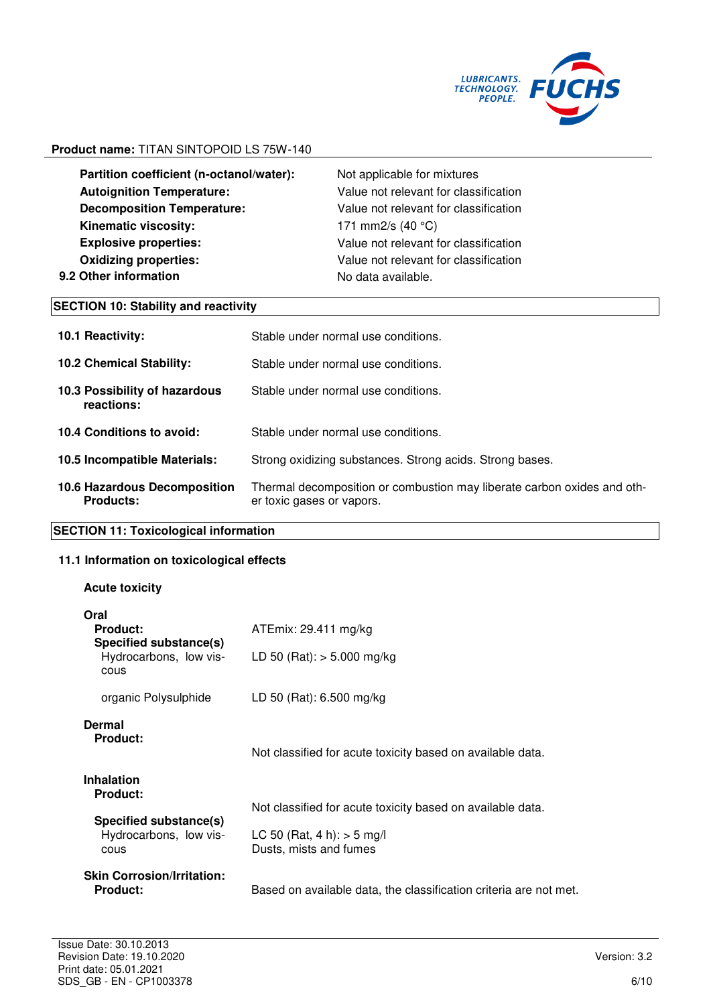

**Partition coefficient (n-octanol/water):** Not applicable for mixtures **Autoignition Temperature:** Value not relevant for classification **Decomposition Temperature:** Value not relevant for classification **Kinematic viscosity:** 171 mm2/s (40 °C) **Explosive properties:** Value not relevant for classification **Oxidizing properties:** Value not relevant for classification **9.2 Other information No data available.** 

# **SECTION 10: Stability and reactivity**

| <b>10.1 Reactivity:</b>                                 | Stable under normal use conditions.                                                                  |
|---------------------------------------------------------|------------------------------------------------------------------------------------------------------|
| <b>10.2 Chemical Stability:</b>                         | Stable under normal use conditions.                                                                  |
| 10.3 Possibility of hazardous<br>reactions:             | Stable under normal use conditions.                                                                  |
| 10.4 Conditions to avoid:                               | Stable under normal use conditions.                                                                  |
| 10.5 Incompatible Materials:                            | Strong oxidizing substances. Strong acids. Strong bases.                                             |
| <b>10.6 Hazardous Decomposition</b><br><b>Products:</b> | Thermal decomposition or combustion may liberate carbon oxides and oth-<br>er toxic gases or vapors. |

# **SECTION 11: Toxicological information**

# **11.1 Information on toxicological effects**

# **Acute toxicity**

| Oral<br><b>Product:</b><br>Specified substance(s)<br>Hydrocarbons, low vis-<br>cous | ATEmix: 29.411 mg/kg<br>LD 50 (Rat): $>$ 5.000 mg/kg                                                                 |
|-------------------------------------------------------------------------------------|----------------------------------------------------------------------------------------------------------------------|
| organic Polysulphide                                                                | LD 50 (Rat): 6.500 mg/kg                                                                                             |
| Dermal<br><b>Product:</b><br><b>Inhalation</b>                                      | Not classified for acute toxicity based on available data.                                                           |
| <b>Product:</b><br>Specified substance(s)<br>Hydrocarbons, low vis-<br>cous         | Not classified for acute toxicity based on available data.<br>LC 50 (Rat, 4 h): $>$ 5 mg/l<br>Dusts, mists and fumes |
| <b>Skin Corrosion/Irritation:</b><br><b>Product:</b>                                | Based on available data, the classification criteria are not met.                                                    |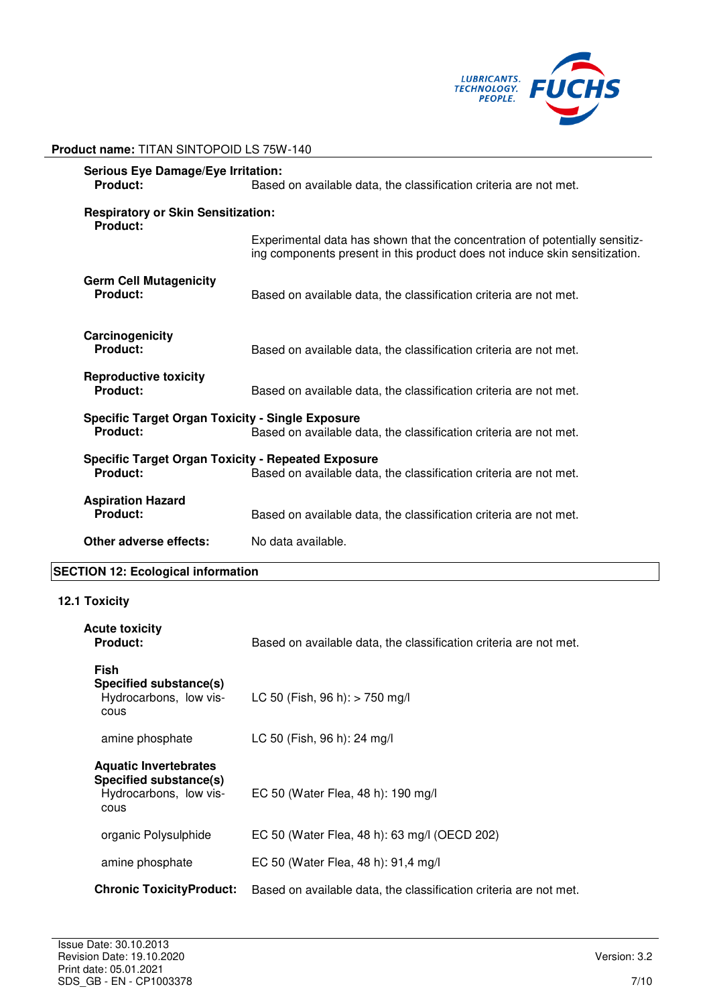

| <b>Product name: TITAN SINTOPOID LS 75W-140</b> |  |
|-------------------------------------------------|--|
|-------------------------------------------------|--|

| <b>Serious Eye Damage/Eye Irritation:</b><br>Product:<br>Based on available data, the classification criteria are not met.                 |                                                                                                                                                           |  |
|--------------------------------------------------------------------------------------------------------------------------------------------|-----------------------------------------------------------------------------------------------------------------------------------------------------------|--|
| <b>Respiratory or Skin Sensitization:</b><br><b>Product:</b>                                                                               |                                                                                                                                                           |  |
|                                                                                                                                            | Experimental data has shown that the concentration of potentially sensitiz-<br>ing components present in this product does not induce skin sensitization. |  |
| <b>Germ Cell Mutagenicity</b><br><b>Product:</b>                                                                                           | Based on available data, the classification criteria are not met.                                                                                         |  |
| Carcinogenicity<br><b>Product:</b>                                                                                                         | Based on available data, the classification criteria are not met.                                                                                         |  |
| <b>Reproductive toxicity</b><br>Product:                                                                                                   | Based on available data, the classification criteria are not met.                                                                                         |  |
| <b>Specific Target Organ Toxicity - Single Exposure</b><br><b>Product:</b>                                                                 | Based on available data, the classification criteria are not met.                                                                                         |  |
| <b>Specific Target Organ Toxicity - Repeated Exposure</b><br>Product:<br>Based on available data, the classification criteria are not met. |                                                                                                                                                           |  |
| <b>Aspiration Hazard</b><br><b>Product:</b>                                                                                                | Based on available data, the classification criteria are not met.                                                                                         |  |
| Other adverse effects:                                                                                                                     | No data available.                                                                                                                                        |  |

# **SECTION 12: Ecological information**

# **12.1 Toxicity**

| Acute toxicity<br><b>Product:</b>                                                        | Based on available data, the classification criteria are not met. |
|------------------------------------------------------------------------------------------|-------------------------------------------------------------------|
| <b>Fish</b><br>Specified substance(s)<br>Hydrocarbons, low vis-<br>cous                  | LC 50 (Fish, 96 h): $>$ 750 mg/l                                  |
| amine phosphate                                                                          | LC 50 (Fish, 96 h): 24 mg/l                                       |
| <b>Aquatic Invertebrates</b><br>Specified substance(s)<br>Hydrocarbons, low vis-<br>cous | EC 50 (Water Flea, 48 h): 190 mg/l                                |
| organic Polysulphide                                                                     | EC 50 (Water Flea, 48 h): 63 mg/l (OECD 202)                      |
| amine phosphate                                                                          | EC 50 (Water Flea, 48 h): 91,4 mg/l                               |
| <b>Chronic ToxicityProduct:</b>                                                          | Based on available data, the classification criteria are not met. |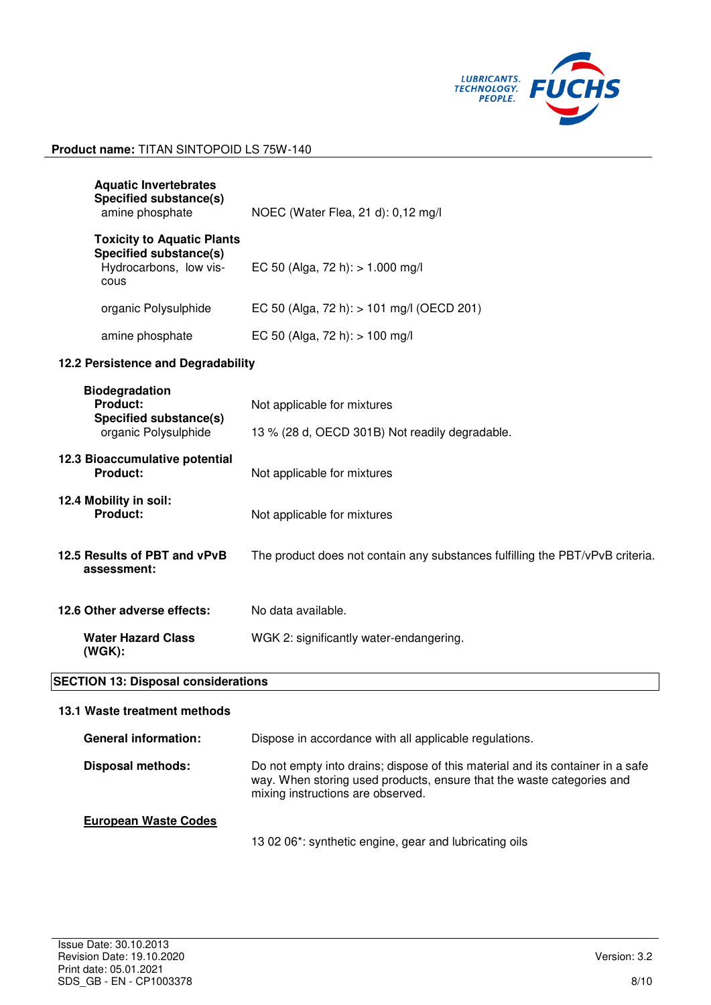

| <b>Aquatic Invertebrates</b><br><b>Specified substance(s)</b><br>amine phosphate                     | NOEC (Water Flea, 21 d): 0,12 mg/l                                                                                                                                                           |  |
|------------------------------------------------------------------------------------------------------|----------------------------------------------------------------------------------------------------------------------------------------------------------------------------------------------|--|
| <b>Toxicity to Aquatic Plants</b><br><b>Specified substance(s)</b><br>Hydrocarbons, low vis-<br>cous | EC 50 (Alga, 72 h): $> 1.000$ mg/l                                                                                                                                                           |  |
| organic Polysulphide                                                                                 | EC 50 (Alga, 72 h): > 101 mg/l (OECD 201)                                                                                                                                                    |  |
| amine phosphate                                                                                      | EC 50 (Alga, 72 h): $> 100$ mg/l                                                                                                                                                             |  |
| 12.2 Persistence and Degradability                                                                   |                                                                                                                                                                                              |  |
| <b>Biodegradation</b><br>Product:<br>Specified substance(s)<br>organic Polysulphide                  | Not applicable for mixtures<br>13 % (28 d, OECD 301B) Not readily degradable.                                                                                                                |  |
| 12.3 Bioaccumulative potential<br>Product:                                                           | Not applicable for mixtures                                                                                                                                                                  |  |
| 12.4 Mobility in soil:<br>Product:                                                                   | Not applicable for mixtures                                                                                                                                                                  |  |
| 12.5 Results of PBT and vPvB<br>assessment:                                                          | The product does not contain any substances fulfilling the PBT/vPvB criteria.                                                                                                                |  |
| 12.6 Other adverse effects:                                                                          | No data available.                                                                                                                                                                           |  |
| <b>Water Hazard Class</b><br>$(WGK)$ :                                                               | WGK 2: significantly water-endangering.                                                                                                                                                      |  |
| <b>SECTION 13: Disposal considerations</b>                                                           |                                                                                                                                                                                              |  |
| 13.1 Waste treatment methods                                                                         |                                                                                                                                                                                              |  |
| <b>General information:</b>                                                                          | Dispose in accordance with all applicable regulations.                                                                                                                                       |  |
| <b>Disposal methods:</b>                                                                             | Do not empty into drains; dispose of this material and its container in a safe<br>way. When storing used products, ensure that the waste categories and<br>mixing instructions are observed. |  |
|                                                                                                      |                                                                                                                                                                                              |  |

13 02 06\*: synthetic engine, gear and lubricating oils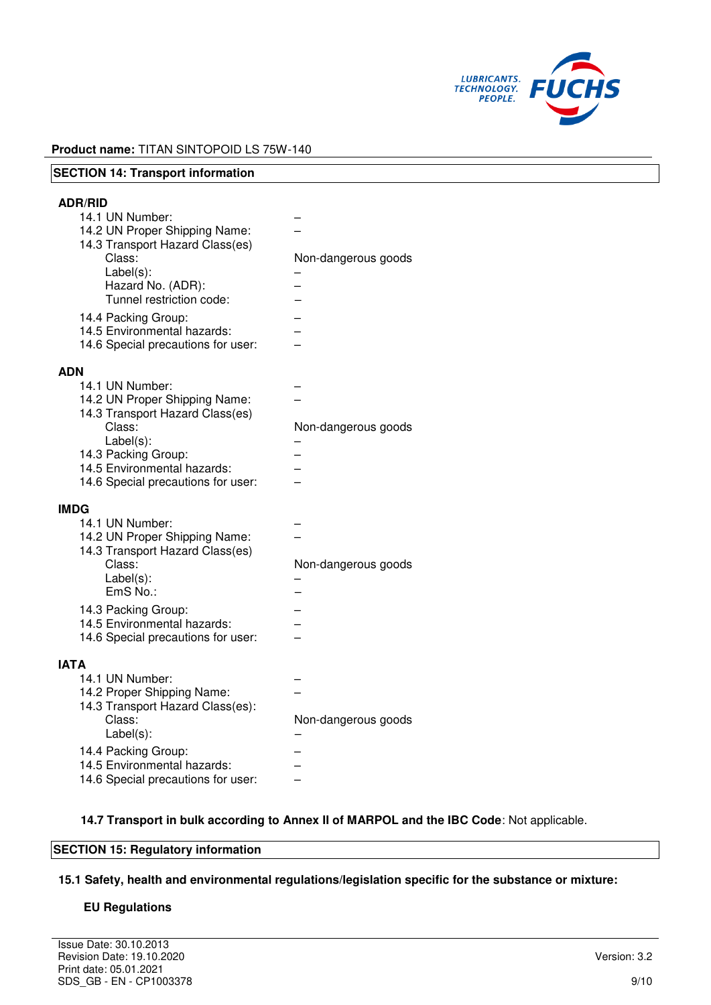

| <b>SECTION 14: Transport information</b>                                                                                                                                                                                                                                     |                     |
|------------------------------------------------------------------------------------------------------------------------------------------------------------------------------------------------------------------------------------------------------------------------------|---------------------|
| <b>ADR/RID</b><br>14.1 UN Number:<br>14.2 UN Proper Shipping Name:<br>14.3 Transport Hazard Class(es)<br>Class:<br>$Label(s)$ :<br>Hazard No. (ADR):<br>Tunnel restriction code:<br>14.4 Packing Group:<br>14.5 Environmental hazards:<br>14.6 Special precautions for user: | Non-dangerous goods |
| <b>ADN</b><br>14.1 UN Number:<br>14.2 UN Proper Shipping Name:<br>14.3 Transport Hazard Class(es)<br>Class:<br>$Label(s)$ :<br>14.3 Packing Group:<br>14.5 Environmental hazards:<br>14.6 Special precautions for user:                                                      | Non-dangerous goods |
| <b>IMDG</b><br>14.1 UN Number:<br>14.2 UN Proper Shipping Name:<br>14.3 Transport Hazard Class(es)<br>Class:<br>$Label(s)$ :<br>EmS No.:<br>14.3 Packing Group:<br>14.5 Environmental hazards:<br>14.6 Special precautions for user:                                         | Non-dangerous goods |
| <b>IATA</b><br>14.1 UN Number:<br>14.2 Proper Shipping Name:<br>14.3 Transport Hazard Class(es):<br>Class:<br>Label(s):<br>14.4 Packing Group:<br>14.5 Environmental hazards:<br>14.6 Special precautions for user:                                                          | Non-dangerous goods |

### **14.7 Transport in bulk according to Annex II of MARPOL and the IBC Code**: Not applicable.

# **SECTION 15: Regulatory information**

**15.1 Safety, health and environmental regulations/legislation specific for the substance or mixture:**

### **EU Regulations**